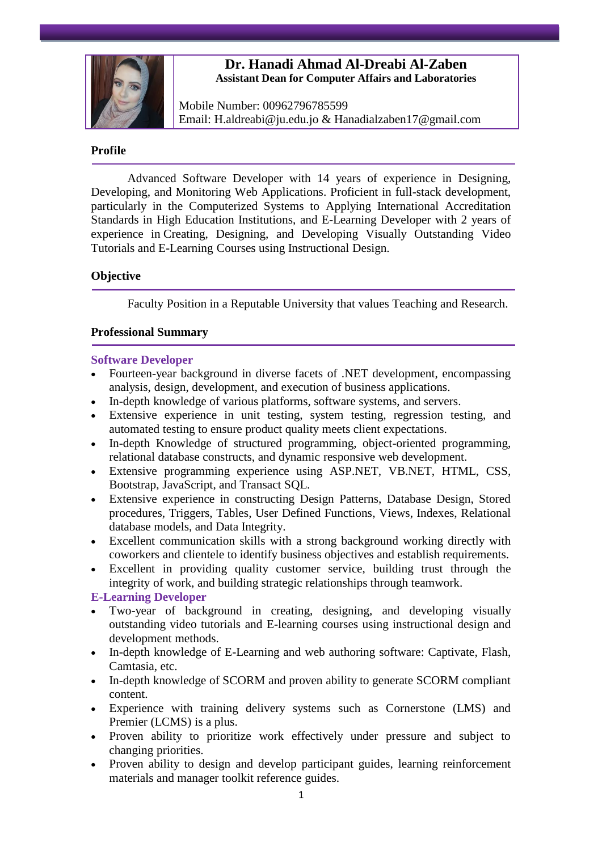

# **Dr. Hanadi Ahmad Al-Dreabi Al-Zaben Assistant Dean for Computer Affairs and Laboratories**

Mobile Number: 00962796785599 Email: H.aldreabi@ju.edu.jo & Hanadialzaben17@gmail.com

### **Profile**

Advanced Software Developer with 14 years of experience in Designing, Developing, and Monitoring Web Applications. Proficient in full-stack development, particularly in the Computerized Systems to Applying International Accreditation Standards in High Education Institutions, and E-Learning Developer with 2 years of experience in Creating, Designing, and Developing Visually Outstanding Video Tutorials and E-Learning Courses using Instructional Design.

## **Objective**

Faculty Position in a Reputable University that values Teaching and Research.

## **Professional Summary**

#### **Software Developer**

- Fourteen-year background in diverse facets of .NET development, encompassing analysis, design, development, and execution of business applications.
- In-depth knowledge of various platforms, software systems, and servers.
- Extensive experience in unit testing, system testing, regression testing, and automated testing to ensure product quality meets client expectations.
- In-depth Knowledge of structured programming, object-oriented programming, relational database constructs, and dynamic responsive web development.
- Extensive programming experience using ASP.NET, VB.NET, HTML, CSS, Bootstrap, JavaScript, and Transact SQL.
- Extensive experience in constructing Design Patterns, Database Design, Stored procedures, Triggers, Tables, User Defined Functions, Views, Indexes, Relational database models, and Data Integrity.
- Excellent communication skills with a strong background working directly with coworkers and clientele to identify business objectives and establish requirements.
- Excellent in providing quality customer service, building trust through the integrity of work, and building strategic relationships through teamwork.

## **E-Learning Developer**

- Two-year of background in creating, designing, and developing visually outstanding video tutorials and E-learning courses using instructional design and development methods.
- In-depth knowledge of E-Learning and web authoring software: Captivate, Flash, Camtasia, etc.
- In-depth knowledge of SCORM and proven ability to generate SCORM compliant content.
- Experience with training delivery systems such as Cornerstone (LMS) and Premier (LCMS) is a plus.
- Proven ability to prioritize work effectively under pressure and subject to changing priorities.
- Proven ability to design and develop participant guides, learning reinforcement materials and manager toolkit reference guides.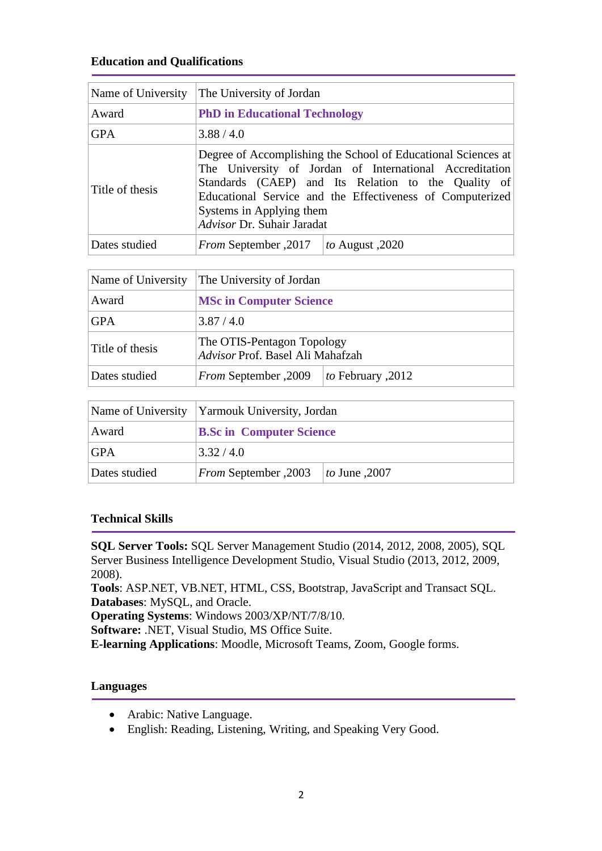# **Education and Qualifications**

| Name of University | The University of Jordan                                                                                                                                                                                                                                                                               |                 |
|--------------------|--------------------------------------------------------------------------------------------------------------------------------------------------------------------------------------------------------------------------------------------------------------------------------------------------------|-----------------|
| Award              | <b>PhD in Educational Technology</b>                                                                                                                                                                                                                                                                   |                 |
| <b>GPA</b>         | 3.88 / 4.0                                                                                                                                                                                                                                                                                             |                 |
| Title of thesis    | Degree of Accomplishing the School of Educational Sciences at<br>The University of Jordan of International Accreditation<br>Standards (CAEP) and Its Relation to the Quality of<br>Educational Service and the Effectiveness of Computerized<br>Systems in Applying them<br>Advisor Dr. Suhair Jaradat |                 |
| Dates studied      | From September , 2017                                                                                                                                                                                                                                                                                  | to August, 2020 |

| Name of University | The University of Jordan                                       |                    |
|--------------------|----------------------------------------------------------------|--------------------|
| Award              | <b>MSc in Computer Science</b>                                 |                    |
| GPA                | 3.87/4.0                                                       |                    |
| Title of thesis    | The OTIS-Pentagon Topology<br>Advisor Prof. Basel Ali Mahafzah |                    |
| Dates studied      | <b>From September</b> , 2009                                   | to February , 2012 |

|               | Name of University Yarmouk University, Jordan |  |
|---------------|-----------------------------------------------|--|
| Award         | <b>B.Sc in Computer Science</b>               |  |
| GPA           | 3.32/4.0                                      |  |
| Dates studied | From September, 2003<br><i>to</i> June , 2007 |  |

# **Technical Skills**

**SQL Server Tools:** SQL Server Management Studio (2014, 2012, 2008, 2005), SQL Server Business Intelligence Development Studio, Visual Studio (2013, 2012, 2009, 2008).

**Tools**: ASP.NET, VB.NET, HTML, CSS, Bootstrap, JavaScript and Transact SQL. **Databases**: MySQL, and Oracle.

**Operating Systems**: Windows 2003/XP/NT/7/8/10.

**Software:** .NET, Visual Studio, MS Office Suite.

**E-learning Applications**: Moodle, Microsoft Teams, Zoom, Google forms.

## **Languages**

- Arabic: Native Language.
- English: Reading, Listening, Writing, and Speaking Very Good.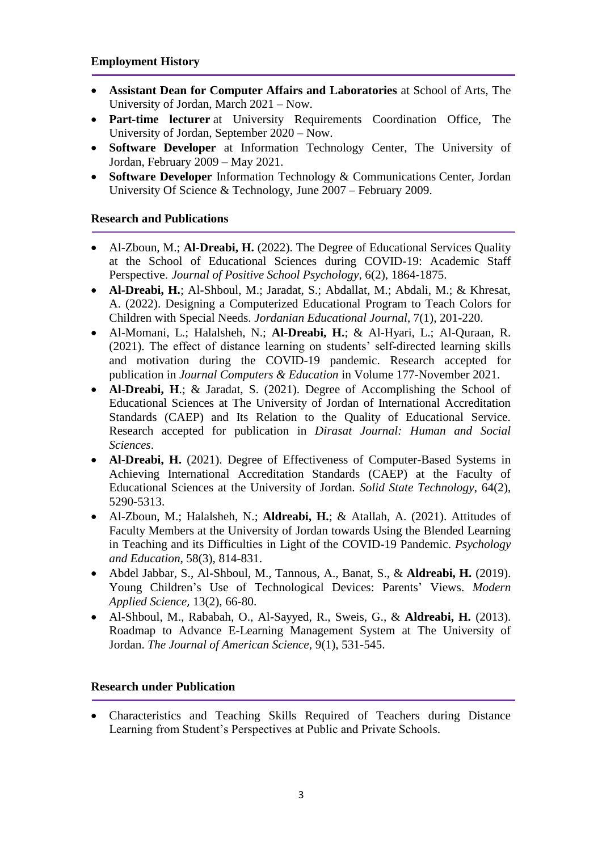- **Assistant Dean for Computer Affairs and Laboratories** at School of Arts, The University of Jordan, March 2021 – Now.
- **Part-time lecturer** at University Requirements Coordination Office, The University of Jordan, September 2020 – Now.
- **Software Developer** at [Information Technology Center,](http://itc.ju.edu.jo/Home.aspx) The University of Jordan, February 2009 – May 2021.
- **Software Developer** Information Technology & Communications Center, [Jordan](http://www.just.edu.jo/)  [University Of Science & Technology,](http://www.just.edu.jo/) June 2007 – February 2009.

# **Research and Publications**

- Al-Zboun, M.; **Al-Dreabi, H.** (2022). The Degree of Educational Services Quality at the School of Educational Sciences during COVID-19: Academic Staff Perspective. *Journal of Positive School Psychology,* 6(2), 1864-1875.
- **Al-Dreabi, H.**; Al-Shboul, M.; Jaradat, S.; Abdallat, M.; Abdali, M.; & Khresat, A. (2022). Designing a Computerized Educational Program to Teach Colors for Children with Special Needs. *Jordanian Educational Journal*, 7(1), 201-220.
- Al-Momani, L.; Halalsheh, N.; **Al-Dreabi, H.**; & Al-Hyari, L.; Al-Quraan, R. (2021). The effect of distance learning on students' self-directed learning skills and motivation during the COVID-19 pandemic. Research accepted for publication in *Journal Computers & Education* in Volume 177-November 2021.
- **Al-Dreabi, H**.; & Jaradat, S. (2021). Degree of Accomplishing the School of Educational Sciences at The University of Jordan of International Accreditation Standards (CAEP) and Its Relation to the Quality of Educational Service*.* Research accepted for publication in *Dirasat Journal: Human and Social Sciences*.
- **Al-Dreabi, H.** (2021). Degree of Effectiveness of Computer-Based Systems in Achieving International Accreditation Standards (CAEP) at the Faculty of Educational Sciences at the University of Jordan*. [Solid State Technology](https://www.solidstatetechnology.us/index.php/index)*, 64(2), 5290-5313.
- Al-Zboun, M.; Halalsheh, N.; **Aldreabi, H.**; & Atallah, A. (2021). Attitudes of Faculty Members at the University of Jordan towards Using the Blended Learning in Teaching and its Difficulties in Light of the COVID-19 Pandemic. *Psychology and Education*, 58(3), 814-831.
- Abdel Jabbar, S., Al-Shboul, M., Tannous, A., Banat, S., & **Aldreabi, H.** (2019). Young Children's Use of Technological Devices: Parents' Views. *Modern Applied Science*, 13(2), 66-80.
- Al-Shboul, M., Rababah, O., Al-Sayyed, R., Sweis, G., & **Aldreabi, H.** (2013). Roadmap to Advance E-Learning Management System at The University of Jordan. *The Journal of American Science*, 9(1), 531-545.

# **Research under Publication**

 Characteristics and Teaching Skills Required of Teachers during Distance Learning from Student's Perspectives at Public and Private Schools.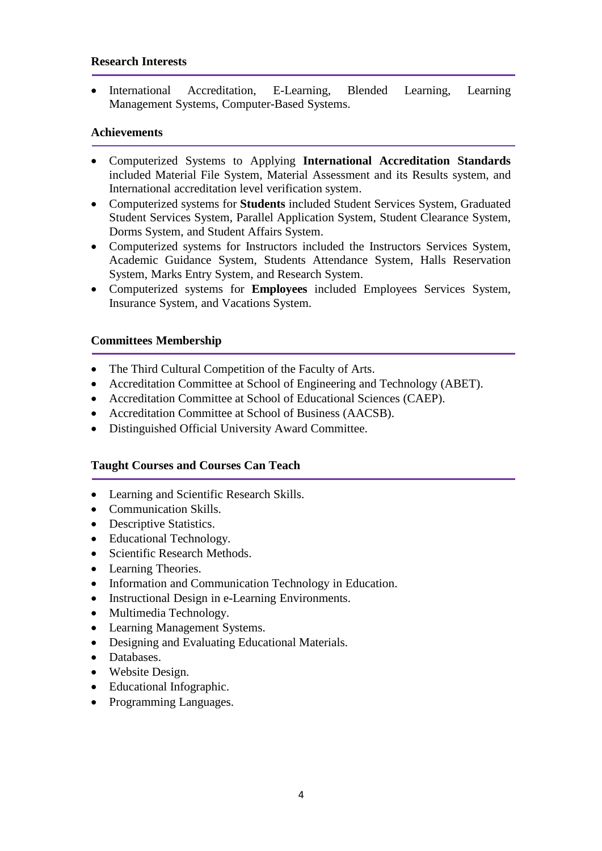### **Research Interests**

 International Accreditation, E-Learning, Blended Learning, Learning Management Systems, Computer-Based Systems.

### **Achievements**

- Computerized Systems to Applying **International Accreditation Standards** included Material File System, Material Assessment and its Results system, and International accreditation level verification system.
- Computerized systems for **Students** included Student Services System, Graduated Student Services System, Parallel Application System, Student Clearance System, Dorms System, and Student Affairs System.
- Computerized systems for Instructors included the Instructors Services System, Academic Guidance System, Students Attendance System, Halls Reservation System, Marks Entry System, and Research System.
- Computerized systems for **Employees** included Employees Services System, Insurance System, and Vacations System.

## **Committees Membership**

- The Third Cultural Competition of the Faculty of Arts.
- Accreditation Committee at School of Engineering and Technology (ABET).
- Accreditation Committee at School of Educational Sciences (CAEP).
- Accreditation Committee at School of Business (AACSB).
- Distinguished Official University Award Committee.

## **Taught Courses and Courses Can Teach**

- Learning and Scientific Research Skills.
- Communication Skills.
- Descriptive Statistics.
- Educational Technology.
- Scientific Research Methods.
- Learning Theories.
- Information and Communication Technology in Education.
- Instructional Design in e-Learning Environments.
- Multimedia Technology.
- Learning Management Systems.
- Designing and Evaluating Educational Materials.
- Databases.
- Website Design.
- Educational Infographic.
- Programming Languages.